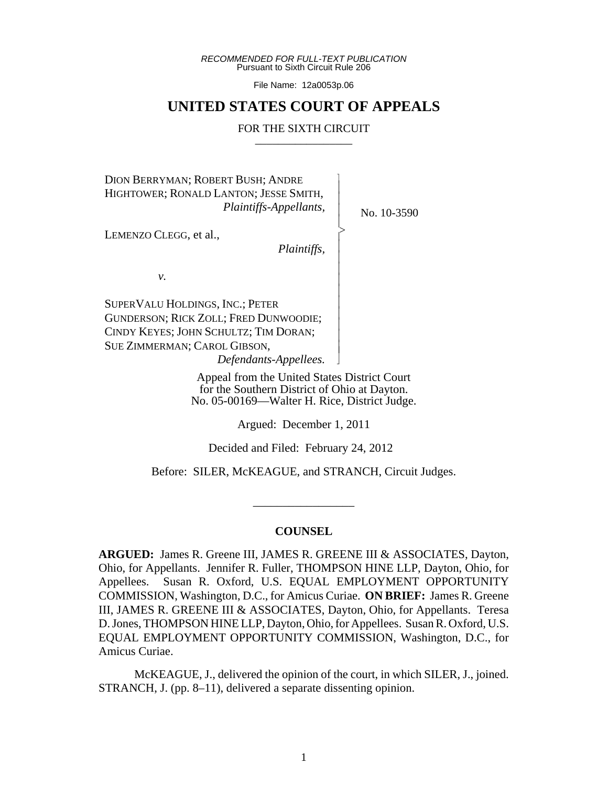*RECOMMENDED FOR FULL-TEXT PUBLICATION* Pursuant to Sixth Circuit Rule 206

File Name: 12a0053p.06

## **UNITED STATES COURT OF APPEALS**

#### FOR THE SIXTH CIRCUIT

 $\overline{\phantom{a}}$ - - - > , - - - - - - - - - - N

DION BERRYMAN; ROBERT BUSH; ANDRE HIGHTOWER; RONALD LANTON; JESSE SMITH, *Plaintiffs-Appellants,*

LEMENZO CLEGG, et al.,

*Plaintiffs,*

*v.*

SUPERVALU HOLDINGS, INC.; PETER GUNDERSON; RICK ZOLL; FRED DUNWOODIE; CINDY KEYES; JOHN SCHULTZ; TIM DORAN; SUE ZIMMERMAN; CAROL GIBSON, *Defendants-Appellees.*

> Appeal from the United States District Court for the Southern District of Ohio at Dayton. No. 05-00169—Walter H. Rice, District Judge.

> > Argued: December 1, 2011

Decided and Filed: February 24, 2012

Before: SILER, McKEAGUE, and STRANCH, Circuit Judges.

\_\_\_\_\_\_\_\_\_\_\_\_\_\_\_\_\_

## **COUNSEL**

**ARGUED:** James R. Greene III, JAMES R. GREENE III & ASSOCIATES, Dayton, Ohio, for Appellants. Jennifer R. Fuller, THOMPSON HINE LLP, Dayton, Ohio, for Appellees. Susan R. Oxford, U.S. EQUAL EMPLOYMENT OPPORTUNITY COMMISSION, Washington, D.C., for Amicus Curiae. **ON BRIEF:** James R. Greene III, JAMES R. GREENE III & ASSOCIATES, Dayton, Ohio, for Appellants. Teresa D. Jones, THOMPSON HINE LLP, Dayton, Ohio, for Appellees. Susan R. Oxford, U.S. EQUAL EMPLOYMENT OPPORTUNITY COMMISSION, Washington, D.C., for Amicus Curiae.

McKEAGUE, J., delivered the opinion of the court, in which SILER, J., joined. STRANCH, J. (pp. 8–11), delivered a separate dissenting opinion.

No. 10-3590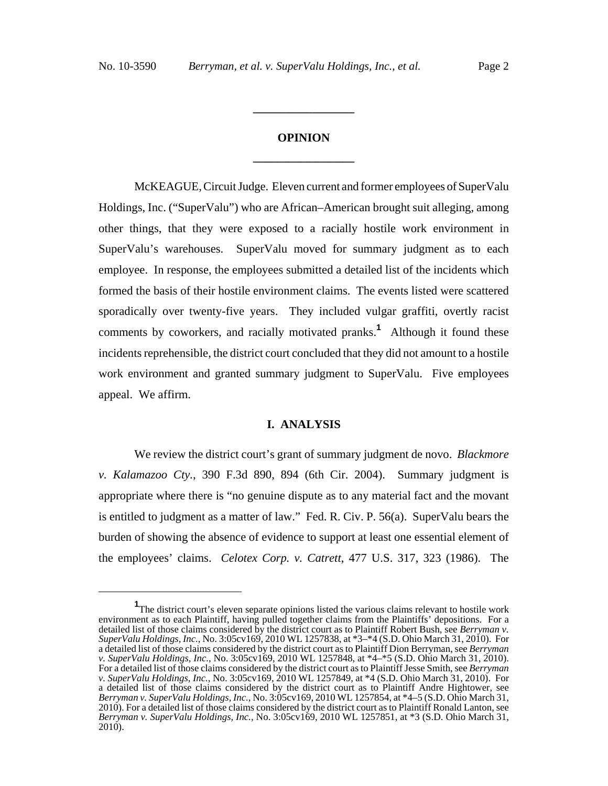# **OPINION \_\_\_\_\_\_\_\_\_\_\_\_\_\_\_\_\_**

**\_\_\_\_\_\_\_\_\_\_\_\_\_\_\_\_\_**

McKEAGUE, Circuit Judge. Eleven current and former employees of SuperValu Holdings, Inc. ("SuperValu") who are African–American brought suit alleging, among other things, that they were exposed to a racially hostile work environment in SuperValu's warehouses. SuperValu moved for summary judgment as to each employee. In response, the employees submitted a detailed list of the incidents which formed the basis of their hostile environment claims. The events listed were scattered sporadically over twenty-five years. They included vulgar graffiti, overtly racist comments by coworkers, and racially motivated pranks.**<sup>1</sup>** Although it found these incidents reprehensible, the district court concluded that they did not amount to a hostile work environment and granted summary judgment to SuperValu. Five employees appeal. We affirm.

### **I. ANALYSIS**

We review the district court's grant of summary judgment de novo. *Blackmore v. Kalamazoo Cty.*, 390 F.3d 890, 894 (6th Cir. 2004). Summary judgment is appropriate where there is "no genuine dispute as to any material fact and the movant is entitled to judgment as a matter of law." Fed. R. Civ. P. 56(a). SuperValu bears the burden of showing the absence of evidence to support at least one essential element of the employees' claims. *Celotex Corp. v. Catrett*, 477 U.S. 317, 323 (1986). The

<sup>&</sup>lt;sup>1</sup>The district court's eleven separate opinions listed the various claims relevant to hostile work environment as to each Plaintiff, having pulled together claims from the Plaintiffs' depositions. For a detailed list of those claims considered by the district court as to Plaintiff Robert Bush, see *Berryman v. SuperValu Holdings, Inc.*, No. 3:05cv169, 2010 WL 1257838, at \*3–\*4 (S.D. Ohio March 31, 2010). For a detailed list of those claims considered by the district court as to Plaintiff Dion Berryman, see *Berryman v. SuperValu Holdings, Inc.*, No. 3:05cv169, 2010 WL 1257848, at \*4–\*5 (S.D. Ohio March 31, 2010). For a detailed list of those claims considered by the district court as to Plaintiff Jesse Smith, see *Berryman v. SuperValu Holdings, Inc.*, No. 3:05cv169, 2010 WL 1257849, at \*4 (S.D. Ohio March 31, 2010). For a detailed list of those claims considered by the district court as to Plaintiff Andre Hightower, see *Berryman v. SuperValu Holdings, Inc.*, No. 3:05cv169, 2010 WL 1257854, at \*4–5 (S.D. Ohio March 31, 2010). For a detailed list of those claims considered by the district court as to Plaintiff Ronald Lanton, see *Berryman v. SuperValu Holdings, Inc.*, No. 3:05cv169, 2010 WL 1257851, at \*3 (S.D. Ohio March 31,  $2010$ ).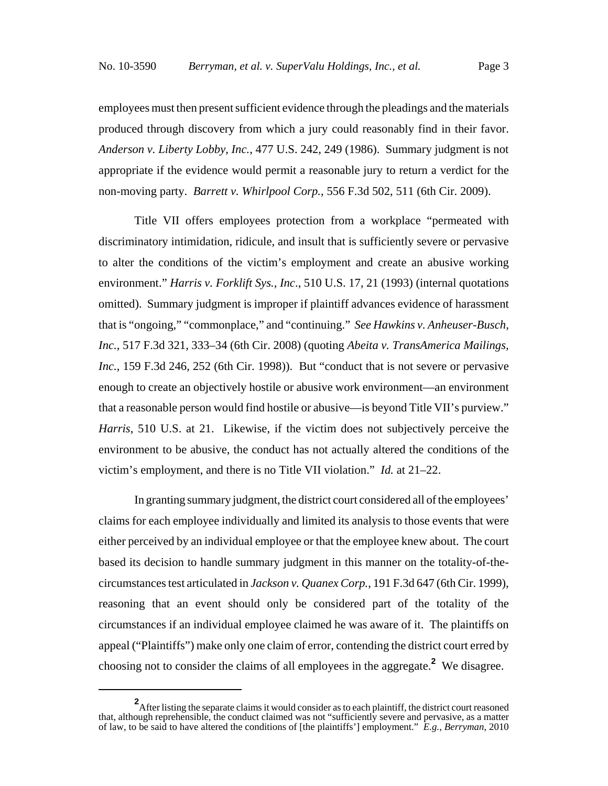employees must then present sufficient evidence through the pleadings and the materials produced through discovery from which a jury could reasonably find in their favor. *Anderson v. Liberty Lobby, Inc.*, 477 U.S. 242, 249 (1986). Summary judgment is not appropriate if the evidence would permit a reasonable jury to return a verdict for the non-moving party. *Barrett v. Whirlpool Corp.*, 556 F.3d 502, 511 (6th Cir. 2009).

Title VII offers employees protection from a workplace "permeated with discriminatory intimidation, ridicule, and insult that is sufficiently severe or pervasive to alter the conditions of the victim's employment and create an abusive working environment." *Harris v. Forklift Sys., Inc*., 510 U.S. 17, 21 (1993) (internal quotations omitted). Summary judgment is improper if plaintiff advances evidence of harassment that is "ongoing," "commonplace," and "continuing." *See Hawkins v. Anheuser-Busch, Inc.*, 517 F.3d 321, 333–34 (6th Cir. 2008) (quoting *Abeita v. TransAmerica Mailings, Inc.*, 159 F.3d 246, 252 (6th Cir. 1998)). But "conduct that is not severe or pervasive enough to create an objectively hostile or abusive work environment—an environment that a reasonable person would find hostile or abusive—is beyond Title VII's purview." *Harris*, 510 U.S. at 21. Likewise, if the victim does not subjectively perceive the environment to be abusive, the conduct has not actually altered the conditions of the victim's employment, and there is no Title VII violation." *Id.* at 21–22.

In granting summary judgment, the district court considered all of the employees' claims for each employee individually and limited its analysis to those events that were either perceived by an individual employee or that the employee knew about. The court based its decision to handle summary judgment in this manner on the totality-of-thecircumstances test articulated in *Jackson v. Quanex Corp.*, 191 F.3d 647 (6th Cir. 1999), reasoning that an event should only be considered part of the totality of the circumstances if an individual employee claimed he was aware of it. The plaintiffs on appeal ("Plaintiffs") make only one claim of error, contending the district court erred by choosing not to consider the claims of all employees in the aggregate.**<sup>2</sup>** We disagree.

<sup>&</sup>lt;sup>2</sup> After listing the separate claims it would consider as to each plaintiff, the district court reasoned that, although reprehensible, the conduct claimed was not "sufficiently severe and pervasive, as a matter of law, to be said to have altered the conditions of [the plaintiffs'] employment." *E.g.*, *Berryman*, 2010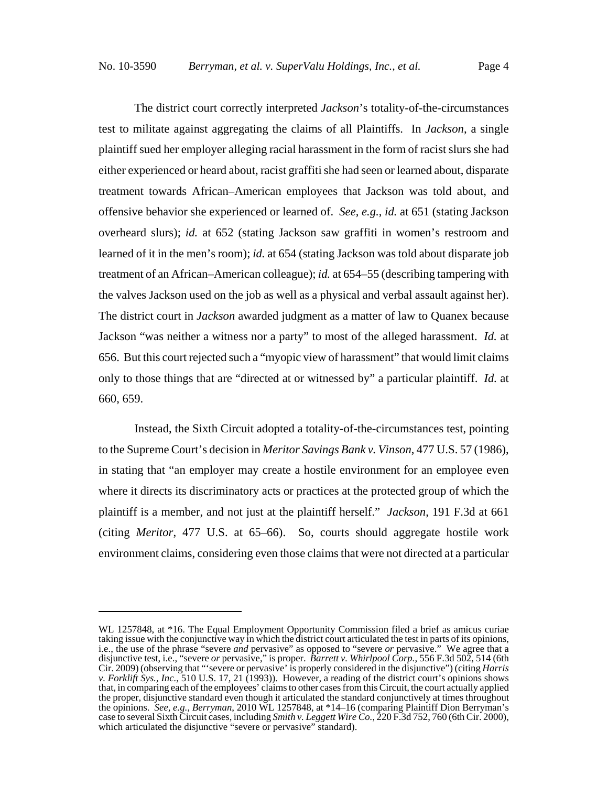The district court correctly interpreted *Jackson*'s totality-of-the-circumstances test to militate against aggregating the claims of all Plaintiffs. In *Jackson*, a single plaintiff sued her employer alleging racial harassment in the form of racist slurs she had either experienced or heard about, racist graffiti she had seen or learned about, disparate treatment towards African–American employees that Jackson was told about, and offensive behavior she experienced or learned of. *See, e.g.*, *id.* at 651 (stating Jackson overheard slurs); *id.* at 652 (stating Jackson saw graffiti in women's restroom and learned of it in the men's room); *id.* at 654 (stating Jackson was told about disparate job treatment of an African–American colleague); *id.* at 654–55 (describing tampering with the valves Jackson used on the job as well as a physical and verbal assault against her). The district court in *Jackson* awarded judgment as a matter of law to Quanex because Jackson "was neither a witness nor a party" to most of the alleged harassment. *Id.* at 656. But this court rejected such a "myopic view of harassment" that would limit claims only to those things that are "directed at or witnessed by" a particular plaintiff. *Id.* at 660, 659.

Instead, the Sixth Circuit adopted a totality-of-the-circumstances test, pointing to the Supreme Court's decision in *Meritor Savings Bank v. Vinson*, 477 U.S. 57 (1986), in stating that "an employer may create a hostile environment for an employee even where it directs its discriminatory acts or practices at the protected group of which the plaintiff is a member, and not just at the plaintiff herself." *Jackson*, 191 F.3d at 661 (citing *Meritor*, 477 U.S. at 65–66). So, courts should aggregate hostile work environment claims, considering even those claims that were not directed at a particular

WL 1257848, at \*16. The Equal Employment Opportunity Commission filed a brief as amicus curiae taking issue with the conjunctive way in which the district court articulated the test in parts of its opinions, i.e., the use of the phrase "severe *and* pervasive" as opposed to "severe *or* pervasive." We agree that a disjunctive test, i.e., "severe *or* pervasive," is proper. *Barrett v. Whirlpool Corp.*, 556 F.3d 502, 514 (6th Cir. 2009) (observing that "'severe or pervasive' is properly considered in the disjunctive") (citing *Harris v. Forklift Sys., Inc.*, 510 U.S. 17, 21 (1993)). However, a reading of the district court's opinions shows that, in comparing each of the employees' claims to other cases from this Circuit, the court actually applied the proper, disjunctive standard even though it articulated the standard conjunctively at times throughout the opinions. *See, e.g.*, *Berryman*, 2010 WL 1257848, at \*14–16 (comparing Plaintiff Dion Berryman's case to several Sixth Circuit cases, including *Smith v. Leggett Wire Co.*, 220 F.3d 752, 760 (6th Cir. 2000), which articulated the disjunctive "severe or pervasive" standard).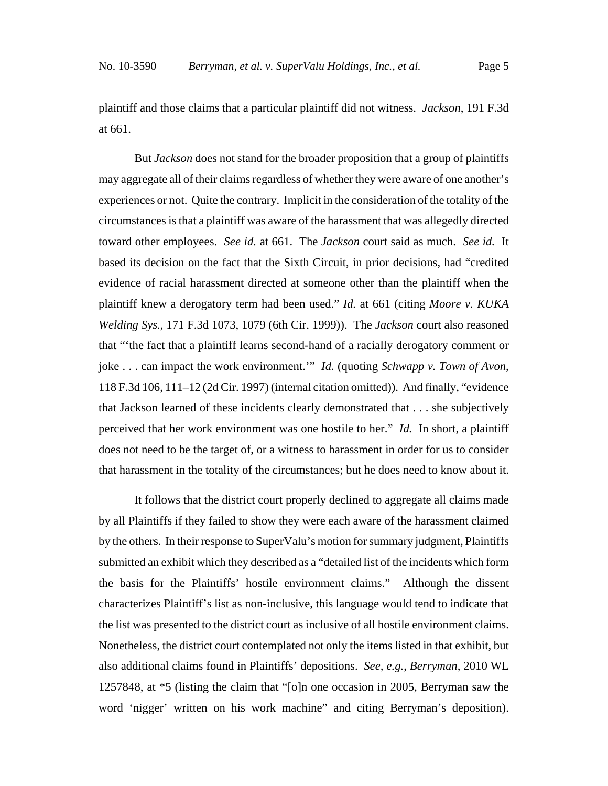plaintiff and those claims that a particular plaintiff did not witness. *Jackson*, 191 F.3d at 661.

But *Jackson* does not stand for the broader proposition that a group of plaintiffs may aggregate all of their claims regardless of whether they were aware of one another's experiences or not. Quite the contrary. Implicit in the consideration of the totality of the circumstances is that a plaintiff was aware of the harassment that was allegedly directed toward other employees. *See id.* at 661. The *Jackson* court said as much. *See id.* It based its decision on the fact that the Sixth Circuit, in prior decisions, had "credited evidence of racial harassment directed at someone other than the plaintiff when the plaintiff knew a derogatory term had been used." *Id.* at 661 (citing *Moore v. KUKA Welding Sys.*, 171 F.3d 1073, 1079 (6th Cir. 1999)). The *Jackson* court also reasoned that "'the fact that a plaintiff learns second-hand of a racially derogatory comment or joke . . . can impact the work environment.'" *Id.* (quoting *Schwapp v. Town of Avon*, 118 F.3d 106, 111–12 (2d Cir. 1997) (internal citation omitted)). And finally, "evidence that Jackson learned of these incidents clearly demonstrated that . . . she subjectively perceived that her work environment was one hostile to her." *Id.* In short, a plaintiff does not need to be the target of, or a witness to harassment in order for us to consider that harassment in the totality of the circumstances; but he does need to know about it.

It follows that the district court properly declined to aggregate all claims made by all Plaintiffs if they failed to show they were each aware of the harassment claimed by the others. In their response to SuperValu's motion for summary judgment, Plaintiffs submitted an exhibit which they described as a "detailed list of the incidents which form the basis for the Plaintiffs' hostile environment claims." Although the dissent characterizes Plaintiff's list as non-inclusive, this language would tend to indicate that the list was presented to the district court as inclusive of all hostile environment claims. Nonetheless, the district court contemplated not only the items listed in that exhibit, but also additional claims found in Plaintiffs' depositions. *See, e.g.*, *Berryman*, 2010 WL 1257848, at \*5 (listing the claim that "[o]n one occasion in 2005, Berryman saw the word 'nigger' written on his work machine" and citing Berryman's deposition).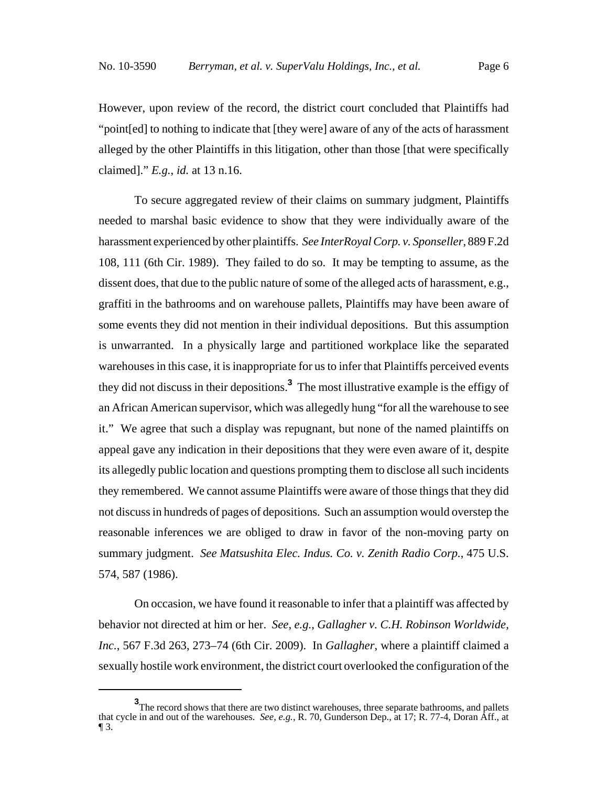However, upon review of the record, the district court concluded that Plaintiffs had "point[ed] to nothing to indicate that [they were] aware of any of the acts of harassment alleged by the other Plaintiffs in this litigation, other than those [that were specifically claimed]." *E.g.*, *id.* at 13 n.16.

To secure aggregated review of their claims on summary judgment, Plaintiffs needed to marshal basic evidence to show that they were individually aware of the harassment experienced by other plaintiffs. *See InterRoyal Corp. v. Sponseller*, 889 F.2d 108, 111 (6th Cir. 1989). They failed to do so. It may be tempting to assume, as the dissent does, that due to the public nature of some of the alleged acts of harassment, e.g., graffiti in the bathrooms and on warehouse pallets, Plaintiffs may have been aware of some events they did not mention in their individual depositions. But this assumption is unwarranted. In a physically large and partitioned workplace like the separated warehouses in this case, it is inappropriate for us to infer that Plaintiffs perceived events they did not discuss in their depositions.**<sup>3</sup>** The most illustrative example is the effigy of an African American supervisor, which was allegedly hung "for all the warehouse to see it." We agree that such a display was repugnant, but none of the named plaintiffs on appeal gave any indication in their depositions that they were even aware of it, despite its allegedly public location and questions prompting them to disclose all such incidents they remembered. We cannot assume Plaintiffs were aware of those things that they did not discuss in hundreds of pages of depositions. Such an assumption would overstep the reasonable inferences we are obliged to draw in favor of the non-moving party on summary judgment. *See Matsushita Elec. Indus. Co. v. Zenith Radio Corp.*, 475 U.S. 574, 587 (1986).

On occasion, we have found it reasonable to infer that a plaintiff was affected by behavior not directed at him or her. *See, e.g.*, *Gallagher v. C.H. Robinson Worldwide, Inc.*, 567 F.3d 263, 273–74 (6th Cir. 2009). In *Gallagher*, where a plaintiff claimed a sexually hostile work environment, the district court overlooked the configuration of the

**<sup>3</sup>** The record shows that there are two distinct warehouses, three separate bathrooms, and pallets that cycle in and out of the warehouses. *See, e.g.*, R. 70, Gunderson Dep., at 17; R. 77-4, Doran Aff., at ¶ 3.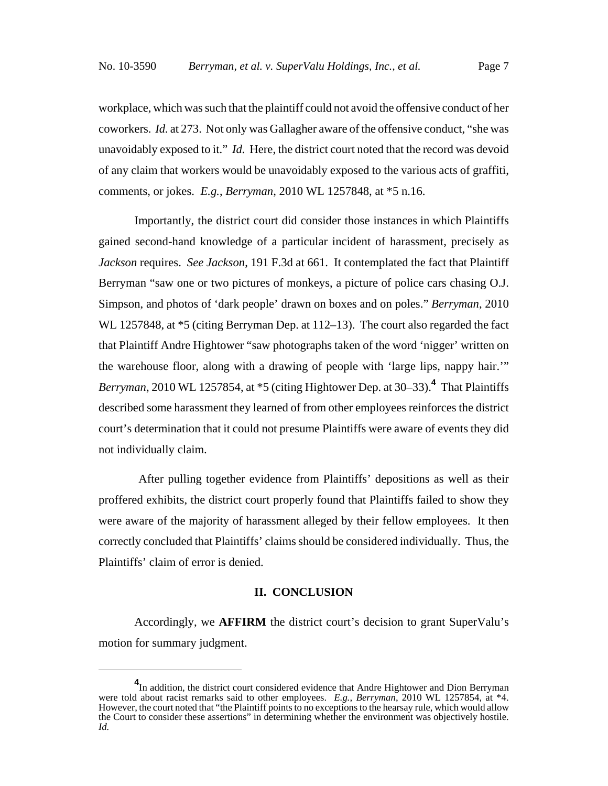workplace, which was such that the plaintiff could not avoid the offensive conduct of her coworkers. *Id.* at 273. Not only was Gallagher aware of the offensive conduct, "she was unavoidably exposed to it." *Id.* Here, the district court noted that the record was devoid of any claim that workers would be unavoidably exposed to the various acts of graffiti, comments, or jokes. *E.g.*, *Berryman*, 2010 WL 1257848, at \*5 n.16.

 Importantly, the district court did consider those instances in which Plaintiffs gained second-hand knowledge of a particular incident of harassment, precisely as *Jackson* requires. *See Jackson*, 191 F.3d at 661. It contemplated the fact that Plaintiff Berryman "saw one or two pictures of monkeys, a picture of police cars chasing O.J. Simpson, and photos of 'dark people' drawn on boxes and on poles." *Berryman*, 2010 WL 1257848, at \*5 (citing Berryman Dep. at 112–13). The court also regarded the fact that Plaintiff Andre Hightower "saw photographs taken of the word 'nigger' written on the warehouse floor, along with a drawing of people with 'large lips, nappy hair.'" *Berryman*, 2010 WL 1257854, at \*5 (citing Hightower Dep. at 30–33).**<sup>4</sup>** That Plaintiffs described some harassment they learned of from other employees reinforces the district court's determination that it could not presume Plaintiffs were aware of events they did not individually claim.

 After pulling together evidence from Plaintiffs' depositions as well as their proffered exhibits, the district court properly found that Plaintiffs failed to show they were aware of the majority of harassment alleged by their fellow employees. It then correctly concluded that Plaintiffs' claims should be considered individually. Thus, the Plaintiffs' claim of error is denied.

### **II. CONCLUSION**

Accordingly, we **AFFIRM** the district court's decision to grant SuperValu's motion for summary judgment.

**<sup>4</sup>** In addition, the district court considered evidence that Andre Hightower and Dion Berryman were told about racist remarks said to other employees. *E.g.*, *Berryman*, 2010 WL 1257854, at \*4. However, the court noted that "the Plaintiff points to no exceptions to the hearsay rule, which would allow the Court to consider these assertions" in determining whether the environment was objectively hostile. *Id.*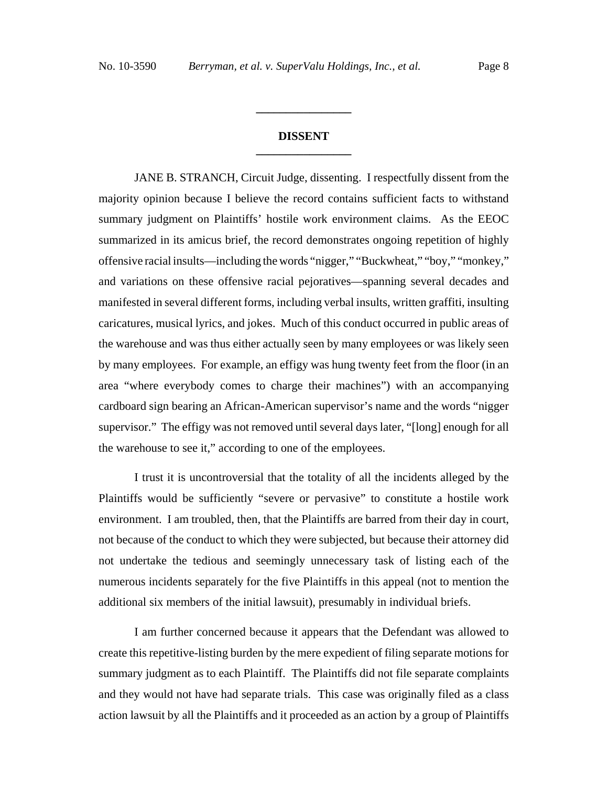## **DISSENT \_\_\_\_\_\_\_\_\_\_\_\_\_\_\_\_**

**\_\_\_\_\_\_\_\_\_\_\_\_\_\_\_\_**

JANE B. STRANCH, Circuit Judge, dissenting. I respectfully dissent from the majority opinion because I believe the record contains sufficient facts to withstand summary judgment on Plaintiffs' hostile work environment claims. As the EEOC summarized in its amicus brief, the record demonstrates ongoing repetition of highly offensive racial insults—including the words "nigger," "Buckwheat," "boy," "monkey," and variations on these offensive racial pejoratives—spanning several decades and manifested in several different forms, including verbal insults, written graffiti, insulting caricatures, musical lyrics, and jokes. Much of this conduct occurred in public areas of the warehouse and was thus either actually seen by many employees or was likely seen by many employees. For example, an effigy was hung twenty feet from the floor (in an area "where everybody comes to charge their machines") with an accompanying cardboard sign bearing an African-American supervisor's name and the words "nigger supervisor." The effigy was not removed until several days later, "[long] enough for all the warehouse to see it," according to one of the employees.

I trust it is uncontroversial that the totality of all the incidents alleged by the Plaintiffs would be sufficiently "severe or pervasive" to constitute a hostile work environment. I am troubled, then, that the Plaintiffs are barred from their day in court, not because of the conduct to which they were subjected, but because their attorney did not undertake the tedious and seemingly unnecessary task of listing each of the numerous incidents separately for the five Plaintiffs in this appeal (not to mention the additional six members of the initial lawsuit), presumably in individual briefs.

I am further concerned because it appears that the Defendant was allowed to create this repetitive-listing burden by the mere expedient of filing separate motions for summary judgment as to each Plaintiff. The Plaintiffs did not file separate complaints and they would not have had separate trials. This case was originally filed as a class action lawsuit by all the Plaintiffs and it proceeded as an action by a group of Plaintiffs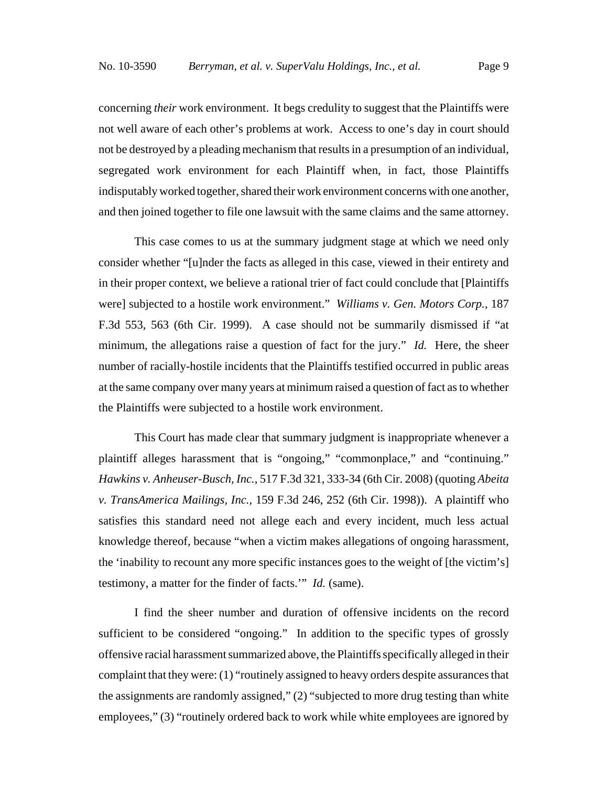concerning *their* work environment. It begs credulity to suggest that the Plaintiffs were not well aware of each other's problems at work. Access to one's day in court should not be destroyed by a pleading mechanism that results in a presumption of an individual, segregated work environment for each Plaintiff when, in fact, those Plaintiffs indisputably worked together, shared their work environment concerns with one another, and then joined together to file one lawsuit with the same claims and the same attorney.

This case comes to us at the summary judgment stage at which we need only consider whether "[u]nder the facts as alleged in this case, viewed in their entirety and in their proper context, we believe a rational trier of fact could conclude that [Plaintiffs were] subjected to a hostile work environment." *Williams v. Gen. Motors Corp.*, 187 F.3d 553, 563 (6th Cir. 1999). A case should not be summarily dismissed if "at minimum, the allegations raise a question of fact for the jury." *Id.* Here, the sheer number of racially-hostile incidents that the Plaintiffs testified occurred in public areas at the same company over many years at minimum raised a question of fact as to whether the Plaintiffs were subjected to a hostile work environment.

This Court has made clear that summary judgment is inappropriate whenever a plaintiff alleges harassment that is "ongoing," "commonplace," and "continuing." *Hawkins v. Anheuser-Busch, Inc.*, 517 F.3d 321, 333-34 (6th Cir. 2008) (quoting *Abeita v. TransAmerica Mailings, Inc.*, 159 F.3d 246, 252 (6th Cir. 1998)). A plaintiff who satisfies this standard need not allege each and every incident, much less actual knowledge thereof, because "when a victim makes allegations of ongoing harassment, the 'inability to recount any more specific instances goes to the weight of [the victim's] testimony, a matter for the finder of facts.'" *Id.* (same).

I find the sheer number and duration of offensive incidents on the record sufficient to be considered "ongoing." In addition to the specific types of grossly offensive racial harassment summarized above, the Plaintiffs specifically alleged in their complaint that they were: (1) "routinely assigned to heavy orders despite assurances that the assignments are randomly assigned," (2) "subjected to more drug testing than white employees," (3) "routinely ordered back to work while white employees are ignored by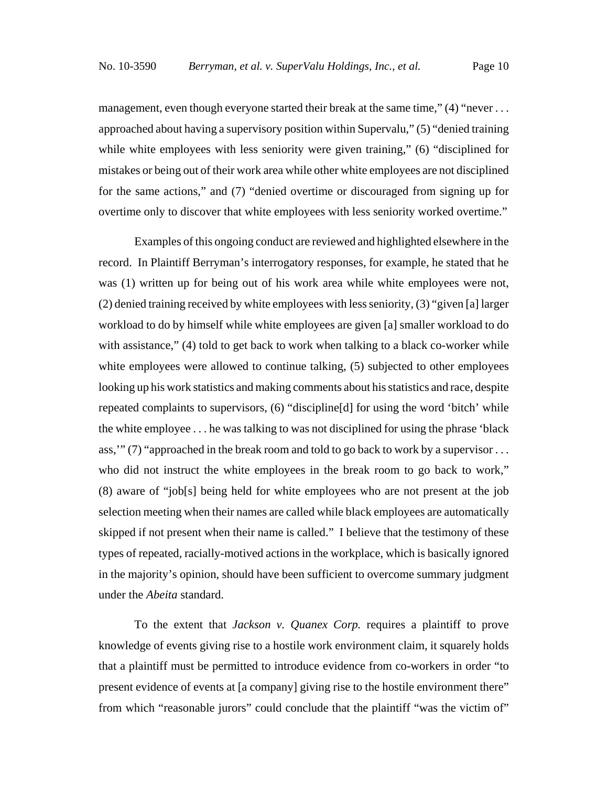management, even though everyone started their break at the same time,"  $(4)$  "never ... approached about having a supervisory position within Supervalu," (5) "denied training while white employees with less seniority were given training," (6) "disciplined for mistakes or being out of their work area while other white employees are not disciplined for the same actions," and (7) "denied overtime or discouraged from signing up for overtime only to discover that white employees with less seniority worked overtime."

Examples of this ongoing conduct are reviewed and highlighted elsewhere in the record. In Plaintiff Berryman's interrogatory responses, for example, he stated that he was (1) written up for being out of his work area while white employees were not, (2) denied training received by white employees with less seniority, (3) "given [a] larger workload to do by himself while white employees are given [a] smaller workload to do with assistance," (4) told to get back to work when talking to a black co-worker while white employees were allowed to continue talking, (5) subjected to other employees looking up his work statistics and making comments about his statistics and race, despite repeated complaints to supervisors, (6) "discipline[d] for using the word 'bitch' while the white employee . . . he was talking to was not disciplined for using the phrase 'black ass,'" (7) "approached in the break room and told to go back to work by a supervisor . . . who did not instruct the white employees in the break room to go back to work," (8) aware of "job[s] being held for white employees who are not present at the job selection meeting when their names are called while black employees are automatically skipped if not present when their name is called." I believe that the testimony of these types of repeated, racially-motived actions in the workplace, which is basically ignored in the majority's opinion, should have been sufficient to overcome summary judgment under the *Abeita* standard.

To the extent that *Jackson v. Quanex Corp.* requires a plaintiff to prove knowledge of events giving rise to a hostile work environment claim, it squarely holds that a plaintiff must be permitted to introduce evidence from co-workers in order "to present evidence of events at [a company] giving rise to the hostile environment there" from which "reasonable jurors" could conclude that the plaintiff "was the victim of"